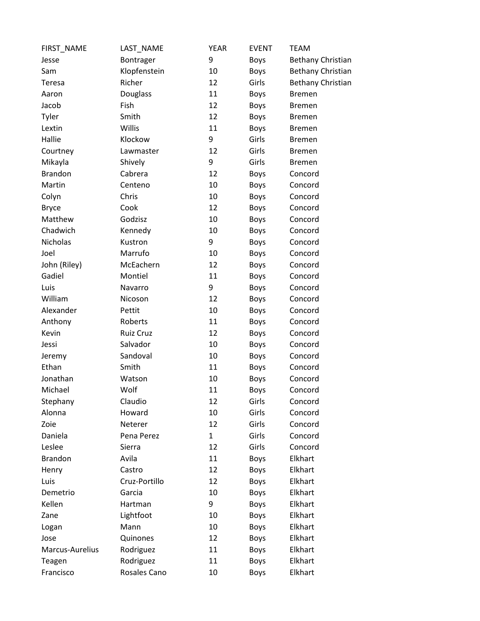| FIRST_NAME      | LAST NAME     | <b>YEAR</b>  | <b>EVENT</b> | <b>TEAM</b>              |
|-----------------|---------------|--------------|--------------|--------------------------|
| Jesse           | Bontrager     | 9            | Boys         | <b>Bethany Christian</b> |
| Sam             | Klopfenstein  | 10           | Boys         | <b>Bethany Christian</b> |
| Teresa          | Richer        | 12           | Girls        | <b>Bethany Christian</b> |
| Aaron           | Douglass      | 11           | Boys         | <b>Bremen</b>            |
| Jacob           | Fish          | 12           | <b>Boys</b>  | <b>Bremen</b>            |
| Tyler           | Smith         | 12           | Boys         | <b>Bremen</b>            |
| Lextin          | Willis        | 11           | <b>Boys</b>  | <b>Bremen</b>            |
| Hallie          | Klockow       | 9            | Girls        | <b>Bremen</b>            |
| Courtney        | Lawmaster     | 12           | Girls        | <b>Bremen</b>            |
| Mikayla         | Shively       | 9            | Girls        | <b>Bremen</b>            |
| <b>Brandon</b>  | Cabrera       | 12           | Boys         | Concord                  |
| Martin          | Centeno       | 10           | Boys         | Concord                  |
| Colyn           | Chris         | 10           | Boys         | Concord                  |
| <b>Bryce</b>    | Cook          | 12           | <b>Boys</b>  | Concord                  |
| Matthew         | Godzisz       | 10           | Boys         | Concord                  |
| Chadwich        | Kennedy       | 10           | Boys         | Concord                  |
| Nicholas        | Kustron       | 9            | Boys         | Concord                  |
| Joel            | Marrufo       | 10           | Boys         | Concord                  |
| John (Riley)    | McEachern     | 12           | Boys         | Concord                  |
| Gadiel          | Montiel       | 11           | Boys         | Concord                  |
| Luis            | Navarro       | 9            | Boys         | Concord                  |
| William         | Nicoson       | 12           | Boys         | Concord                  |
| Alexander       | Pettit        | 10           | Boys         | Concord                  |
| Anthony         | Roberts       | 11           | <b>Boys</b>  | Concord                  |
| Kevin           | Ruiz Cruz     | 12           | Boys         | Concord                  |
| Jessi           | Salvador      | 10           | Boys         | Concord                  |
| Jeremy          | Sandoval      | 10           | Boys         | Concord                  |
| Ethan           | Smith         | 11           | Boys         | Concord                  |
| Jonathan        | Watson        | 10           | Boys         | Concord                  |
| Michael         | Wolf          | 11           | <b>Boys</b>  | Concord                  |
| Stephany        | Claudio       | 12           | Girls        | Concord                  |
| Alonna          | Howard        | 10           | Girls        | Concord                  |
| Zoie            | Neterer       | 12           | Girls        | Concord                  |
| Daniela         | Pena Perez    | $\mathbf{1}$ | Girls        | Concord                  |
| Leslee          | Sierra        | 12           | Girls        | Concord                  |
| <b>Brandon</b>  | Avila         | 11           | Boys         | Elkhart                  |
| Henry           | Castro        | 12           | Boys         | Elkhart                  |
| Luis            | Cruz-Portillo | 12           | Boys         | Elkhart                  |
| Demetrio        | Garcia        | 10           | Boys         | Elkhart                  |
| Kellen          | Hartman       | 9            | Boys         | Elkhart                  |
| Zane            | Lightfoot     | 10           | Boys         | Elkhart                  |
| Logan           | Mann          | 10           | Boys         | Elkhart                  |
| Jose            | Quinones      | 12           | Boys         | Elkhart                  |
| Marcus-Aurelius | Rodriguez     | 11           | Boys         | Elkhart                  |
| Teagen          | Rodriguez     | 11           | Boys         | Elkhart                  |
| Francisco       | Rosales Cano  | 10           | <b>Boys</b>  | Elkhart                  |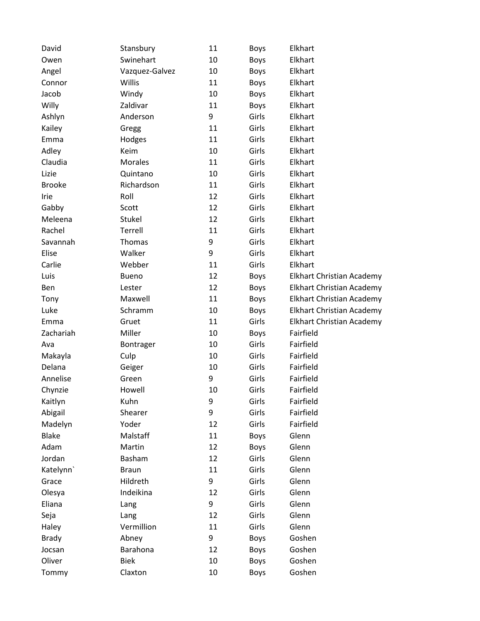| David         | Stansbury      | 11 | Boys        | Elkhart                          |
|---------------|----------------|----|-------------|----------------------------------|
| Owen          | Swinehart      | 10 | Boys        | Elkhart                          |
| Angel         | Vazquez-Galvez | 10 | <b>Boys</b> | Elkhart                          |
| Connor        | Willis         | 11 | Boys        | Elkhart                          |
| Jacob         | Windy          | 10 | Boys        | Elkhart                          |
| Willy         | Zaldivar       | 11 | <b>Boys</b> | Elkhart                          |
| Ashlyn        | Anderson       | 9  | Girls       | Elkhart                          |
| Kailey        | Gregg          | 11 | Girls       | Elkhart                          |
| Emma          | Hodges         | 11 | Girls       | Elkhart                          |
| Adley         | Keim           | 10 | Girls       | Elkhart                          |
| Claudia       | <b>Morales</b> | 11 | Girls       | Elkhart                          |
| Lizie         | Quintano       | 10 | Girls       | Elkhart                          |
| <b>Brooke</b> | Richardson     | 11 | Girls       | Elkhart                          |
| Irie          | Roll           | 12 | Girls       | Elkhart                          |
| Gabby         | Scott          | 12 | Girls       | Elkhart                          |
| Meleena       | Stukel         | 12 | Girls       | Elkhart                          |
| Rachel        | Terrell        | 11 | Girls       | Elkhart                          |
| Savannah      | Thomas         | 9  | Girls       | Elkhart                          |
| Elise         | Walker         | 9  | Girls       | Elkhart                          |
| Carlie        | Webber         | 11 | Girls       | Elkhart                          |
| Luis          | <b>Bueno</b>   | 12 | Boys        | Elkhart Christian Academy        |
| Ben           | Lester         | 12 | Boys        | <b>Elkhart Christian Academy</b> |
| Tony          | Maxwell        | 11 | Boys        | Elkhart Christian Academy        |
| Luke          | Schramm        | 10 | Boys        | Elkhart Christian Academy        |
| Emma          | Gruet          | 11 | Girls       | <b>Elkhart Christian Academy</b> |
| Zachariah     | Miller         | 10 | Boys        | Fairfield                        |
| Ava           | Bontrager      | 10 | Girls       | Fairfield                        |
| Makayla       | Culp           | 10 | Girls       | Fairfield                        |
| Delana        | Geiger         | 10 | Girls       | Fairfield                        |
| Annelise      | Green          | 9  | Girls       | Fairfield                        |
| Chynzie       | Howell         | 10 | Girls       | Fairfield                        |
| Kaitlyn       | Kuhn           | 9  | Girls       | Fairfield                        |
| Abigail       | Shearer        | 9  | Girls       | Fairfield                        |
| Madelyn       | Yoder          | 12 | Girls       | Fairfield                        |
| <b>Blake</b>  | Malstaff       | 11 | Boys        | Glenn                            |
| Adam          | Martin         | 12 | Boys        | Glenn                            |
| Jordan        | Basham         | 12 | Girls       | Glenn                            |
| Katelynn'     | <b>Braun</b>   | 11 | Girls       | Glenn                            |
| Grace         | Hildreth       | 9  | Girls       | Glenn                            |
| Olesya        | Indeikina      | 12 | Girls       | Glenn                            |
| Eliana        | Lang           | 9  | Girls       | Glenn                            |
| Seja          | Lang           | 12 | Girls       | Glenn                            |
| Haley         | Vermillion     | 11 | Girls       | Glenn                            |
| <b>Brady</b>  | Abney          | 9  | <b>Boys</b> | Goshen                           |
| Jocsan        | Barahona       | 12 | Boys        | Goshen                           |
| Oliver        | <b>Biek</b>    | 10 | <b>Boys</b> | Goshen                           |
| Tommy         | Claxton        | 10 | Boys        | Goshen                           |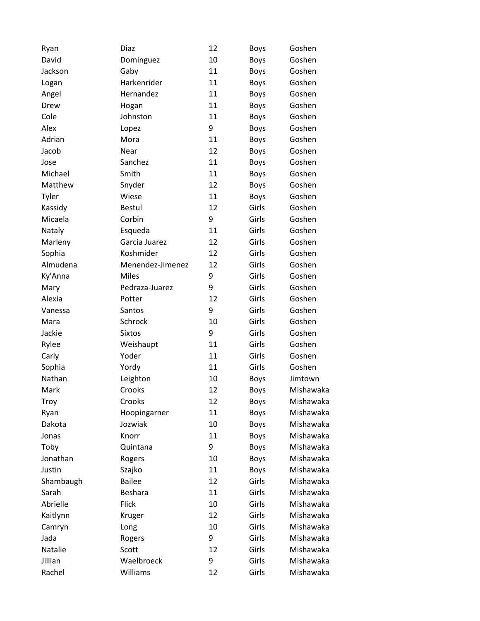| Ryan      | Diaz             | 12 | <b>Boys</b> | Goshen    |
|-----------|------------------|----|-------------|-----------|
| David     | Dominguez        | 10 | <b>Boys</b> | Goshen    |
| Jackson   | Gaby             | 11 | <b>Boys</b> | Goshen    |
| Logan     | Harkenrider      | 11 | Boys        | Goshen    |
| Angel     | Hernandez        | 11 | <b>Boys</b> | Goshen    |
| Drew      | Hogan            | 11 | Boys        | Goshen    |
| Cole      | Johnston         | 11 | <b>Boys</b> | Goshen    |
| Alex      | Lopez            | 9  | <b>Boys</b> | Goshen    |
| Adrian    | Mora             | 11 | Boys        | Goshen    |
| Jacob     | Near             | 12 | <b>Boys</b> | Goshen    |
| Jose      | Sanchez          | 11 | <b>Boys</b> | Goshen    |
| Michael   | Smith            | 11 | Boys        | Goshen    |
| Matthew   | Snyder           | 12 | <b>Boys</b> | Goshen    |
| Tyler     | Wiese            | 11 | <b>Boys</b> | Goshen    |
| Kassidy   | <b>Bestul</b>    | 12 | Girls       | Goshen    |
| Micaela   | Corbin           | 9  | Girls       | Goshen    |
| Nataly    | Esqueda          | 11 | Girls       | Goshen    |
| Marleny   | Garcia Juarez    | 12 | Girls       | Goshen    |
| Sophia    | Koshmider        | 12 | Girls       | Goshen    |
| Almudena  | Menendez-Jimenez | 12 | Girls       | Goshen    |
| Ky'Anna   | <b>Miles</b>     | 9  | Girls       | Goshen    |
| Mary      | Pedraza-Juarez   | 9  | Girls       | Goshen    |
| Alexia    | Potter           | 12 | Girls       | Goshen    |
| Vanessa   | Santos           | 9  | Girls       | Goshen    |
| Mara      | Schrock          | 10 | Girls       | Goshen    |
| Jackie    | <b>Sixtos</b>    | 9  | Girls       | Goshen    |
| Rylee     | Weishaupt        | 11 | Girls       | Goshen    |
| Carly     | Yoder            | 11 | Girls       | Goshen    |
| Sophia    | Yordy            | 11 | Girls       | Goshen    |
| Nathan    | Leighton         | 10 | <b>Boys</b> | Jimtown   |
| Mark      | Crooks           | 12 | <b>Boys</b> | Mishawaka |
| Troy      | Crooks           | 12 | Boys        | Mishawaka |
| Ryan      | Hoopingarner     | 11 | <b>Boys</b> | Mishawaka |
| Dakota    | Jozwiak          | 10 | <b>Boys</b> | Mishawaka |
| Jonas     | Knorr            | 11 | Boys        | Mishawaka |
| Toby      | Quintana         | 9  | <b>Boys</b> | Mishawaka |
| Jonathan  | Rogers           | 10 | Boys        | Mishawaka |
| Justin    | Szajko           | 11 | <b>Boys</b> | Mishawaka |
| Shambaugh | <b>Bailee</b>    | 12 | Girls       | Mishawaka |
| Sarah     | Beshara          | 11 | Girls       | Mishawaka |
| Abrielle  | <b>Flick</b>     | 10 | Girls       | Mishawaka |
| Kaitlynn  | Kruger           | 12 | Girls       | Mishawaka |
| Camryn    | Long             | 10 | Girls       | Mishawaka |
| Jada      | Rogers           | 9  | Girls       | Mishawaka |
| Natalie   | Scott            | 12 | Girls       | Mishawaka |
| Jillian   | Waelbroeck       | 9  | Girls       | Mishawaka |
| Rachel    | Williams         | 12 | Girls       | Mishawaka |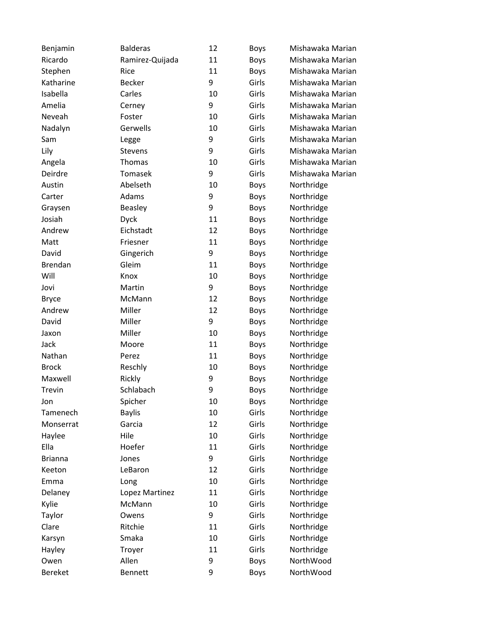| Benjamin       | <b>Balderas</b> | 12 | <b>Boys</b> | Mishawaka Marian |
|----------------|-----------------|----|-------------|------------------|
| Ricardo        | Ramirez-Quijada | 11 | Boys        | Mishawaka Marian |
| Stephen        | Rice            | 11 | Boys        | Mishawaka Marian |
| Katharine      | <b>Becker</b>   | 9  | Girls       | Mishawaka Marian |
| Isabella       | Carles          | 10 | Girls       | Mishawaka Marian |
| Amelia         | Cerney          | 9  | Girls       | Mishawaka Marian |
| Neveah         | Foster          | 10 | Girls       | Mishawaka Marian |
| Nadalyn        | Gerwells        | 10 | Girls       | Mishawaka Marian |
| Sam            | Legge           | 9  | Girls       | Mishawaka Marian |
| Lily           | <b>Stevens</b>  | 9  | Girls       | Mishawaka Marian |
| Angela         | Thomas          | 10 | Girls       | Mishawaka Marian |
| Deirdre        | Tomasek         | 9  | Girls       | Mishawaka Marian |
| Austin         | Abelseth        | 10 | <b>Boys</b> | Northridge       |
| Carter         | Adams           | 9  | <b>Boys</b> | Northridge       |
| Graysen        | <b>Beasley</b>  | 9  | <b>Boys</b> | Northridge       |
| Josiah         | <b>Dyck</b>     | 11 | Boys        | Northridge       |
| Andrew         | Eichstadt       | 12 | <b>Boys</b> | Northridge       |
| Matt           | Friesner        | 11 | <b>Boys</b> | Northridge       |
| David          | Gingerich       | 9  | Boys        | Northridge       |
| <b>Brendan</b> | Gleim           | 11 | Boys        | Northridge       |
| Will           | Knox            | 10 | Boys        | Northridge       |
| Jovi           | Martin          | 9  | <b>Boys</b> | Northridge       |
| <b>Bryce</b>   | McMann          | 12 | <b>Boys</b> | Northridge       |
| Andrew         | Miller          | 12 | Boys        | Northridge       |
| David          | Miller          | 9  | Boys        | Northridge       |
| Jaxon          | Miller          | 10 | Boys        | Northridge       |
| Jack           | Moore           | 11 | <b>Boys</b> | Northridge       |
| Nathan         | Perez           | 11 | Boys        | Northridge       |
| <b>Brock</b>   | Reschly         | 10 | Boys        | Northridge       |
| Maxwell        | Rickly          | 9  | <b>Boys</b> | Northridge       |
| Trevin         | Schlabach       | 9  | <b>Boys</b> | Northridge       |
| Jon            | Spicher         | 10 | <b>Boys</b> | Northridge       |
| Tamenech       | <b>Baylis</b>   | 10 | Girls       | Northridge       |
| Monserrat      | Garcia          | 12 | Girls       | Northridge       |
| Haylee         | Hile            | 10 | Girls       | Northridge       |
| Ella           | Hoefer          | 11 | Girls       | Northridge       |
| <b>Brianna</b> | Jones           | 9  | Girls       | Northridge       |
| Keeton         | LeBaron         | 12 | Girls       | Northridge       |
| Emma           | Long            | 10 | Girls       | Northridge       |
| Delaney        | Lopez Martinez  | 11 | Girls       | Northridge       |
| Kylie          | McMann          | 10 | Girls       | Northridge       |
| Taylor         | Owens           | 9  | Girls       | Northridge       |
| Clare          | Ritchie         | 11 | Girls       | Northridge       |
| Karsyn         | Smaka           | 10 | Girls       | Northridge       |
| Hayley         | Troyer          | 11 | Girls       | Northridge       |
| Owen           | Allen           | 9  | Boys        | NorthWood        |
| <b>Bereket</b> | Bennett         | 9  | Boys        | NorthWood        |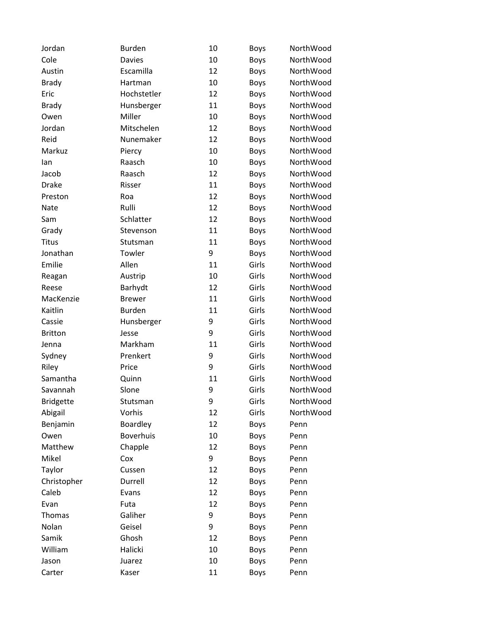| Jordan           | <b>Burden</b>    | 10 | <b>Boys</b> | NorthWood |
|------------------|------------------|----|-------------|-----------|
| Cole             | <b>Davies</b>    | 10 | Boys        | NorthWood |
| Austin           | Escamilla        | 12 | Boys        | NorthWood |
| <b>Brady</b>     | Hartman          | 10 | <b>Boys</b> | NorthWood |
| Eric             | Hochstetler      | 12 | <b>Boys</b> | NorthWood |
| <b>Brady</b>     | Hunsberger       | 11 | Boys        | NorthWood |
| Owen             | Miller           | 10 | Boys        | NorthWood |
| Jordan           | Mitschelen       | 12 | Boys        | NorthWood |
| Reid             | Nunemaker        | 12 | Boys        | NorthWood |
| Markuz           | Piercy           | 10 | <b>Boys</b> | NorthWood |
| lan              | Raasch           | 10 | <b>Boys</b> | NorthWood |
| Jacob            | Raasch           | 12 | Boys        | NorthWood |
| <b>Drake</b>     | Risser           | 11 | <b>Boys</b> | NorthWood |
| Preston          | Roa              | 12 | Boys        | NorthWood |
| Nate             | Rulli            | 12 | <b>Boys</b> | NorthWood |
| Sam              | Schlatter        | 12 | Boys        | NorthWood |
| Grady            | Stevenson        | 11 | Boys        | NorthWood |
| <b>Titus</b>     | Stutsman         | 11 | <b>Boys</b> | NorthWood |
| Jonathan         | Towler           | 9  | <b>Boys</b> | NorthWood |
| Emilie           | Allen            | 11 | Girls       | NorthWood |
| Reagan           | Austrip          | 10 | Girls       | NorthWood |
| Reese            | Barhydt          | 12 | Girls       | NorthWood |
| MacKenzie        | <b>Brewer</b>    | 11 | Girls       | NorthWood |
| Kaitlin          | <b>Burden</b>    | 11 | Girls       | NorthWood |
| Cassie           | Hunsberger       | 9  | Girls       | NorthWood |
| <b>Britton</b>   | Jesse            | 9  | Girls       | NorthWood |
| Jenna            | Markham          | 11 | Girls       | NorthWood |
| Sydney           | Prenkert         | 9  | Girls       | NorthWood |
| Riley            | Price            | 9  | Girls       | NorthWood |
| Samantha         | Quinn            | 11 | Girls       | NorthWood |
| Savannah         | Slone            | 9  | Girls       | NorthWood |
| <b>Bridgette</b> | Stutsman         | 9  | Girls       | NorthWood |
| Abigail          | Vorhis           | 12 | Girls       | NorthWood |
| Benjamin         | Boardley         | 12 | <b>Boys</b> | Penn      |
| Owen             | <b>Boverhuis</b> | 10 | Boys        | Penn      |
| Matthew          | Chapple          | 12 | <b>Boys</b> | Penn      |
| Mikel            | Cox              | 9  | <b>Boys</b> | Penn      |
| Taylor           | Cussen           | 12 | <b>Boys</b> | Penn      |
| Christopher      | Durrell          | 12 | Boys        | Penn      |
| Caleb            | Evans            | 12 | <b>Boys</b> | Penn      |
| Evan             | Futa             | 12 | <b>Boys</b> | Penn      |
| Thomas           | Galiher          | 9  | <b>Boys</b> | Penn      |
| Nolan            | Geisel           | 9  | <b>Boys</b> | Penn      |
| Samik            | Ghosh            | 12 | Boys        | Penn      |
| William          | Halicki          | 10 | Boys        | Penn      |
| Jason            | Juarez           | 10 | <b>Boys</b> | Penn      |
| Carter           | Kaser            | 11 | Boys        | Penn      |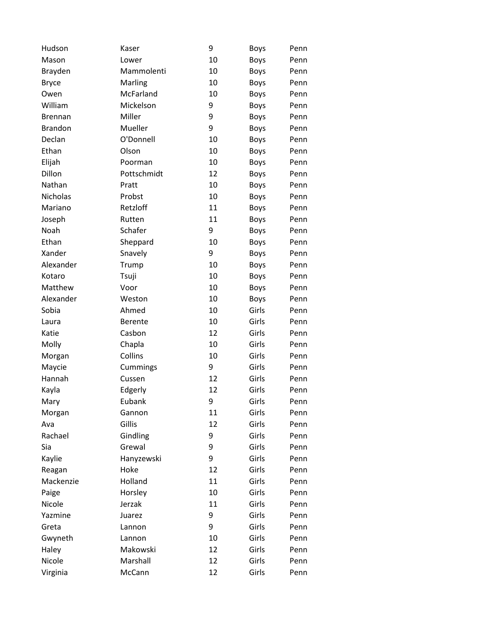| Hudson          | Kaser          | 9  | <b>Boys</b> | Penn |
|-----------------|----------------|----|-------------|------|
| Mason           | Lower          | 10 | Boys        | Penn |
| Brayden         | Mammolenti     | 10 | <b>Boys</b> | Penn |
| <b>Bryce</b>    | Marling        | 10 | <b>Boys</b> | Penn |
| Owen            | McFarland      | 10 | <b>Boys</b> | Penn |
| William         | Mickelson      | 9  | <b>Boys</b> | Penn |
| <b>Brennan</b>  | Miller         | 9  | <b>Boys</b> | Penn |
| <b>Brandon</b>  | Mueller        | 9  | <b>Boys</b> | Penn |
| Declan          | O'Donnell      | 10 | <b>Boys</b> | Penn |
| Ethan           | Olson          | 10 | <b>Boys</b> | Penn |
| Elijah          | Poorman        | 10 | <b>Boys</b> | Penn |
| Dillon          | Pottschmidt    | 12 | <b>Boys</b> | Penn |
| Nathan          | Pratt          | 10 | <b>Boys</b> | Penn |
| <b>Nicholas</b> | Probst         | 10 | <b>Boys</b> | Penn |
| Mariano         | Retzloff       | 11 | <b>Boys</b> | Penn |
| Joseph          | Rutten         | 11 | <b>Boys</b> | Penn |
| <b>Noah</b>     | Schafer        | 9  | Boys        | Penn |
| Ethan           | Sheppard       | 10 | <b>Boys</b> | Penn |
| Xander          | Snavely        | 9  | <b>Boys</b> | Penn |
| Alexander       | Trump          | 10 | <b>Boys</b> | Penn |
| Kotaro          | Tsuji          | 10 | <b>Boys</b> | Penn |
| Matthew         | Voor           | 10 | <b>Boys</b> | Penn |
| Alexander       | Weston         | 10 | <b>Boys</b> | Penn |
| Sobia           | Ahmed          | 10 | Girls       | Penn |
| Laura           | <b>Berente</b> | 10 | Girls       | Penn |
| Katie           | Casbon         | 12 | Girls       | Penn |
| Molly           | Chapla         | 10 | Girls       | Penn |
| Morgan          | Collins        | 10 | Girls       | Penn |
| Maycie          | Cummings       | 9  | Girls       | Penn |
| Hannah          | Cussen         | 12 | Girls       | Penn |
| Kayla           | Edgerly        | 12 | Girls       | Penn |
| Mary            | Eubank         | 9  | Girls       | Penn |
| Morgan          | Gannon         | 11 | Girls       | Penn |
| Ava             | Gillis         | 12 | Girls       | Penn |
| Rachael         | Gindling       | 9  | Girls       | Penn |
| Sia             | Grewal         | 9  | Girls       | Penn |
| Kaylie          | Hanyzewski     | 9  | Girls       | Penn |
| Reagan          | Hoke           | 12 | Girls       | Penn |
| Mackenzie       | Holland        | 11 | Girls       | Penn |
| Paige           | Horsley        | 10 | Girls       | Penn |
| Nicole          | Jerzak         | 11 | Girls       | Penn |
| Yazmine         | Juarez         | 9  | Girls       | Penn |
| Greta           | Lannon         | 9  | Girls       | Penn |
| Gwyneth         | Lannon         | 10 | Girls       | Penn |
| Haley           | Makowski       | 12 | Girls       | Penn |
| Nicole          | Marshall       | 12 | Girls       | Penn |
| Virginia        | McCann         | 12 | Girls       | Penn |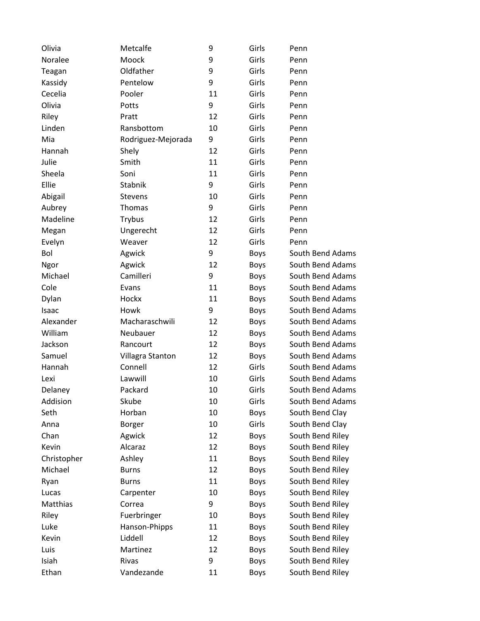| Olivia      | Metcalfe           | 9  | Girls       | Penn             |
|-------------|--------------------|----|-------------|------------------|
| Noralee     | Moock              | 9  | Girls       | Penn             |
| Teagan      | Oldfather          | 9  | Girls       | Penn             |
| Kassidy     | Pentelow           | 9  | Girls       | Penn             |
| Cecelia     | Pooler             | 11 | Girls       | Penn             |
| Olivia      | Potts              | 9  | Girls       | Penn             |
| Riley       | Pratt              | 12 | Girls       | Penn             |
| Linden      | Ransbottom         | 10 | Girls       | Penn             |
| Mia         | Rodriguez-Mejorada | 9  | Girls       | Penn             |
| Hannah      | Shely              | 12 | Girls       | Penn             |
| Julie       | Smith              | 11 | Girls       | Penn             |
| Sheela      | Soni               | 11 | Girls       | Penn             |
| Ellie       | Stabnik            | 9  | Girls       | Penn             |
| Abigail     | <b>Stevens</b>     | 10 | Girls       | Penn             |
| Aubrey      | Thomas             | 9  | Girls       | Penn             |
| Madeline    | Trybus             | 12 | Girls       | Penn             |
| Megan       | Ungerecht          | 12 | Girls       | Penn             |
| Evelyn      | Weaver             | 12 | Girls       | Penn             |
| Bol         | Agwick             | 9  | Boys        | South Bend Adams |
| Ngor        | Agwick             | 12 | <b>Boys</b> | South Bend Adams |
| Michael     | Camilleri          | 9  | Boys        | South Bend Adams |
| Cole        | Evans              | 11 | Boys        | South Bend Adams |
| Dylan       | Hockx              | 11 | Boys        | South Bend Adams |
| Isaac       | Howk               | 9  | Boys        | South Bend Adams |
| Alexander   | Macharaschwili     | 12 | Boys        | South Bend Adams |
| William     | Neubauer           | 12 | Boys        | South Bend Adams |
| Jackson     | Rancourt           | 12 | Boys        | South Bend Adams |
| Samuel      | Villagra Stanton   | 12 | Boys        | South Bend Adams |
| Hannah      | Connell            | 12 | Girls       | South Bend Adams |
| Lexi        | Lawwill            | 10 | Girls       | South Bend Adams |
| Delaney     | Packard            | 10 | Girls       | South Bend Adams |
| Addision    | Skube              | 10 | Girls       | South Bend Adams |
| Seth        | Horban             | 10 | Boys        | South Bend Clay  |
| Anna        | Borger             | 10 | Girls       | South Bend Clay  |
| Chan        | Agwick             | 12 | Boys        | South Bend Riley |
| Kevin       | Alcaraz            | 12 | Boys        | South Bend Riley |
| Christopher | Ashley             | 11 | Boys        | South Bend Riley |
| Michael     | <b>Burns</b>       | 12 | Boys        | South Bend Riley |
| Ryan        | <b>Burns</b>       | 11 | Boys        | South Bend Riley |
| Lucas       | Carpenter          | 10 | Boys        | South Bend Riley |
| Matthias    | Correa             | 9  | Boys        | South Bend Riley |
| Riley       | Fuerbringer        | 10 | Boys        | South Bend Riley |
| Luke        | Hanson-Phipps      | 11 | Boys        | South Bend Riley |
| Kevin       | Liddell            | 12 | <b>Boys</b> | South Bend Riley |
| Luis        | Martinez           | 12 | Boys        | South Bend Riley |
| Isiah       | Rivas              | 9  | Boys        | South Bend Riley |
| Ethan       | Vandezande         | 11 | Boys        | South Bend Riley |